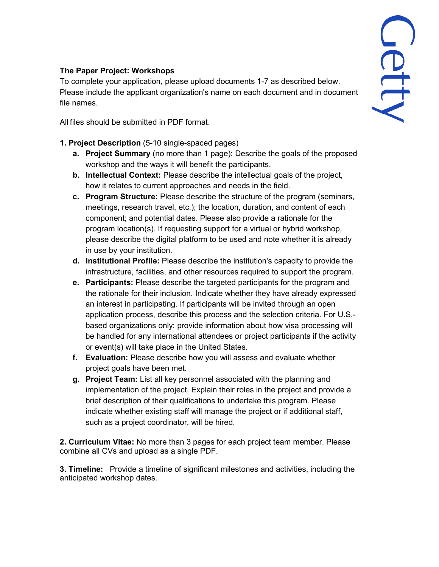## **The Paper Project: Workshops**

To complete your application, please upload documents 1-7 as described below. Please include the applicant organization's name on each document and in document file names.

All files should be submitted in PDF format.

- **1. Project Description** (5-10 single-spaced pages)
	- **a. Project Summary** (no more than 1 page): Describe the goals of the proposed workshop and the ways it will benefit the participants.
	- **b. Intellectual Context:** Please describe the intellectual goals of the project, how it relates to current approaches and needs in the field.
	- **c. Program Structure:** Please describe the structure of the program (seminars, meetings, research travel, etc.); the location, duration, and content of each component; and potential dates. Please also provide a rationale for the program location(s). If requesting support for a virtual or hybrid workshop, please describe the digital platform to be used and note whether it is already in use by your institution.
	- **d. Institutional Profile:** Please describe the institution's capacity to provide the infrastructure, facilities, and other resources required to support the program.
	- **e. Participants:** Please describe the targeted participants for the program and the rationale for their inclusion. Indicate whether they have already expressed an interest in participating. If participants will be invited through an open application process, describe this process and the selection criteria. For U.S. based organizations only: provide information about how visa processing will be handled for any international attendees or project participants if the activity or event(s) will take place in the United States.
	- **f. Evaluation:** Please describe how you will assess and evaluate whether project goals have been met.
	- **g. Project Team:** List all key personnel associated with the planning and implementation of the project. Explain their roles in the project and provide a brief description of their qualifications to undertake this program. Please indicate whether existing staff will manage the project or if additional staff, such as a project coordinator, will be hired.

**2. Curriculum Vitae:** No more than 3 pages for each project team member. Please combine all CVs and upload as a single PDF.

**3. Timeline:** Provide a timeline of significant milestones and activities, including the anticipated workshop dates.